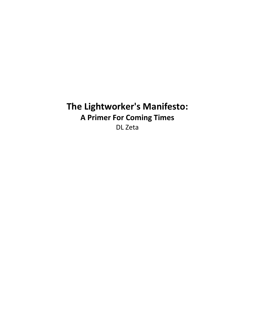# The Lightworker's Manifesto: A Primer For Coming Times DL Zeta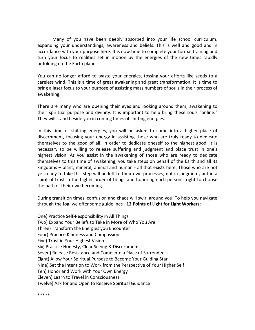Many of you have been deeply absorbed into your life school curriculum, expanding your understandings, awareness and beliefs. This is well and good and in accordance with your purpose here. It is now time to complete your formal training and turn your focus to realities set in motion by the energies of the new times rapidly unfolding on the Earth plane.

You can no longer afford to waste your energies, tossing your efforts like seeds to a careless wind. This is a time of great awakening and great transformation. It is time to bring a laser focus to your purpose of assisting mass numbers of souls in their process of awakening.

There are many who are opening their eyes and looking around them, awakening to their spiritual purpose and divinity. It is important to help bring these souls "online." They will stand beside you in coming times of shifting energies.

In this time of shifting energies, you will be asked to come into a higher place of discernment, focusing your energy in assisting those who are truly ready to dedicate themselves to the good of all. In order to dedicate oneself to the highest good, it is necessary to be willing to release suffering and judgment and place trust in one's highest vision. As you assist in the awakening of those who are ready to dedicate themselves to this time of awakening, you take steps on behalf of the Earth and all its kingdoms – plant, mineral, animal and human - all that exists here. Those who are not yet ready to take this step will be left to their own processes, not in judgment, but in a spirit of trust in the higher order of things and honoring each person's right to choose the path of their own becoming.

During transition times, confusion and chaos will swirl around you. To help you navigate through the fog, we offer some guidelines - 12 Points of Light for Light Workers:

One) Practice Self-Responsibility in All Things Two) Expand Your Beliefs to Take in More of Who You Are Three) Transform the Energies you Encounter Four) Practice Kindness and Compassion Five) Trust in Your Highest Vision Six) Practice Honesty, Clear Seeing & Discernment Seven) Release Resistance and Come into a Place of Surrender Eight) Allow Your Spiritual Purpose to Become Your Guiding Star Nine) Set the Intention to Work from the Perspective of Your Higher Self Ten) Honor and Work with Your Own Energy Eleven) Learn to Travel in Consciousness Twelve) Ask for and Open to Receive Spiritual Guidance

\*\*\*\*\*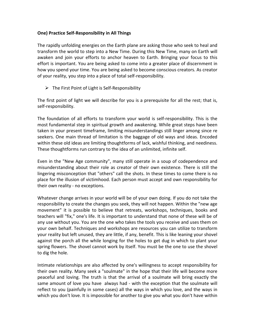#### One) Practice Self-Responsibility in All Things

The rapidly unfolding energies on the Earth plane are asking those who seek to heal and transform the world to step into a New Time. During this New Time, many on Earth will awaken and join your efforts to anchor heaven to Earth. Bringing your focus to this effort is important. You are being asked to come into a greater place of discernment in how you spend your time. You are being asked to become conscious creators. As creator of your reality, you step into a place of total self-responsibility.

 $\triangleright$  The First Point of Light is Self-Responsibility

The first point of light we will describe for you is a prerequisite for all the rest; that is, self-responsibility.

The foundation of all efforts to transform your world is self-responsibility. This is the most fundamental step in spiritual growth and awakening. While great steps have been taken in your present timeframe, limiting misunderstandings still linger among since re seekers. One main thread of limitation is the baggage of old ways and ideas. Encoded within these old ideas are limiting thoughtforms of lack, wishful thinking, and neediness. These thoughtforms run contrary to the idea of an unlimited, infinite self.

Even in the "New Age community", many still operate in a soup of codependence and misunderstanding about their role as creator of their own existence. There is still the lingering misconception that "others" call the shots. In these times to come there is no place for the illusion of victimhood. Each person must accept and own responsibility for their own reality - no exceptions.

Whatever change arrives in your world will be of your own doing. If you do not take the responsibility to create the changes you seek, they will not happen. Within the "new age movement" it is possible to believe that retreats, workshops, techniques, books and teachers will "fix," one's life. It is important to understand that none of these will be of any use without you. You are the one who takes the tools you receive and uses them on your own behalf. Techniques and workshops are resources you can utilize to transform your reality but left unused, they are little, if any, benefit. This is like leaning your shovel against the porch all the while longing for the holes to get dug in which to plant your spring flowers. The shovel cannot work by itself. You must be the one to use the shovel to dig the hole.

Intimate relationships are also affected by one's willingness to accept responsibility for their own reality. Many seek a "soulmate" in the hope that their life will become more peaceful and loving. The truth is that the arrival of a soulmate will bring exactly the same amount of love you have always had - with the exception that the soulmate will reflect to you (painfully in some cases) all the ways in which you love, and the ways in which you don't love. It is impossible for another to give you what you don't have within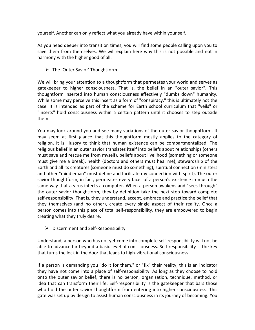yourself. Another can only reflect what you already have within your self.

As you head deeper into transition times, you will find some people calling upon you to save them from themselves. We will explain here why this is not possible and not in harmony with the higher good of all.

The `Outer Savior' Thoughtform

We will bring your attention to a thoughtform that permeates your world and serves as gatekeeper to higher consciousness. That is, the belief in an "outer savior". This thoughtform inserted into human consciousness effectively "dumbs down" humanity. While some may perceive this insert as a form of "conspiracy," this is ultimately not the case. It is intended as part of the scheme for Earth school curriculum that "veils" or "inserts" hold consciousness within a certain pattern until it chooses to step outside them.

You may look around you and see many variations of the outer savior thoughtform. It may seem at first glance that this thoughtform mostly applies to the category of religion. It is illusory to think that human existence can be compartmentalized. The religious belief in an outer savior translates itself into beliefs about relationships (others must save and rescue me from myself), beliefs about livelihood (something or someone must give me a break), health (doctors and others must heal me), stewardship of the Earth and all its creatures (someone must do something), spiritual connection (ministers and other "middleman" must define and facilitate my connection with spirit). The outer savior thoughtform, in fact, permeates every facet of a person's existence in much the same way that a virus infects a computer. When a person awakens and "sees through" the outer savior thoughtform, they by definition take the next step toward complete self-responsibility. That is, they understand, accept, embrace and practice the belief that they themselves (and no other), create every single aspect of their reality. Once a person comes into this place of total self-responsibility, they are empowered to begin creating what they truly desire.

 $\triangleright$  Discernment and Self-Responsibility

Understand, a person who has not yet come into complete self-responsibility will not be able to advance far beyond a basic level of consciousness. Self-responsibility is the key that turns the lock in the door that leads to high-vibrational consciousness.

If a person is demanding you "do it for them," or "fix" their reality, this is an indicator they have not come into a place of self-responsibility. As long as they choose to hold onto the outer savior belief, there is no person, organization, technique, method, or idea that can transform their life. Self-responsibility is the gatekeeper that bars those who hold the outer savior thoughtform from entering into higher consciousness. This gate was set up by design to assist human consciousness in its journey of becoming. You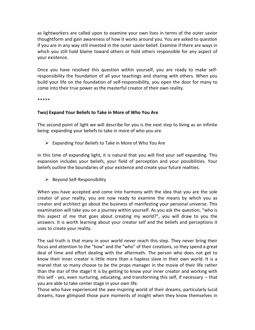as lightworkers are called upon to examine your own lives in terms of the outer savior thoughtform and gain awareness of how it works around you. You are asked to question if you are in any way still invested in the outer savior belief. Examine if there are ways in which you still hold blame toward others or hold others responsible for any aspect of your existence.

Once you have resolved this question within yourself, you are ready to make selfresponsibility the foundation of all your teachings and sharing with others. When you build your life on the foundation of self-responsibility, you open the door for many to come into their true power as the masterful creator of their own reality.

\*\*\*\*\*

#### Two) Expand Your Beliefs to Take in More of Who You Are

The second point of light we will describe for you is the next step to living as an infinite being: expanding your beliefs to take in more of who you are.

 $\triangleright$  Expanding Your Beliefs to Take in More of Who You Are

In this time of expanding light, it is natural that you will find your self expanding. This expansion includes your beliefs, your field of perception and your possibilities. Your beliefs outline the boundaries of your existence and create your future realities.

 $\triangleright$  Beyond Self-Responsibility

When you have accepted and come into harmony with the idea that you are the sole creator of your reality, you are now ready to examine the means by which you as creator and architect go about the business of manifesting your personal universe. This examination will take you on a journey within yourself. As you ask the question, "who is this aspect of me that goes about creating my world?", you will draw to you the answers. It is worth learning about your creator self and the beliefs and perceptions it uses to create your reality.

The sad truth is that many in your world never reach this step. They never bring their focus and attention to the "how" and the "who" of their creations, so they spend a great deal of time and effort dealing with the aftermath. The person who does not get to know their inner creator is little more than a hapless slave in their own world. It is a marvel that so many choose to be the props manager in the movie of their life rather than the star of the stage! It is by getting to know your inner creator and working with this self - yes, even nurturing, educating, and transforming this self, if necessary -- that you are able to take center stage in your own life.

Those who have experienced the awe-inspiring world of their dreams, particularly lucid dreams, have glimpsed those pure moments of insight when they know themselves in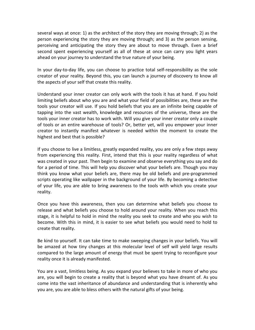several ways at once: 1) as the architect of the story they are moving through; 2) as the person experiencing the story they are moving through; and 3) as the person sensing, perceiving and anticipating the story they are about to move through. Even a brief second spent experiencing yourself as all of these at once can carry you light years ahead on your journey to understand the true nature of your being.

In your day-to-day life, you can choose to practice total self-responsibility as the sole creator of your reality. Beyond this, you can launch a journey of discovery to know all the aspects of your self that create this reality.

Understand your inner creator can only work with the tools it has at hand. If you hold limiting beliefs about who you are and what your field of possibilities are, these are the tools your creator will use. If you hold beliefs that you are an infinite being capable of tapping into the vast wealth, knowledge and resources of the universe, these are the tools your inner creator has to work with. Will you give your inner creator only a couple of tools or an entire warehouse of tools? Or, better yet, will you empower your inner creator to instantly manifest whatever is needed within the moment to create the highest and best that is possible?

If you choose to live a limitless, greatly expanded reality, you are only a few steps away from experiencing this reality. First, intend that this is your reality regardless of what was created in your past. Then begin to examine and observe everything you say and do for a period of time. This will help you discover what your beliefs are. Though you may think you know what your beliefs are, there may be old beliefs and pre-programmed scripts operating like wallpaper in the background of your life. By becoming a detective of your life, you are able to bring awareness to the tools with which you create your reality.

Once you have this awareness, then you can determine what beliefs you choose to release and what beliefs you choose to hold around your reality. When you reach this stage, it is helpful to hold in mind the reality you seek to create and who you wish to become. With this in mind, it is easier to see what beliefs you would need to hold to create that reality.

Be kind to yourself. It can take time to make sweeping changes in your beliefs. You will be amazed at how tiny changes at this molecular level of self will yield large results compared to the large amount of energy that must be spent trying to reconfigure your reality once it is already manifested.

You are a vast, limitless being. As you expand your believes to take in more of who you are, you will begin to create a reality that is beyond what you have dreamt of. As you come into the vast inheritance of abundance and understanding that is inherently who you are, you are able to bless others with the natural gifts of your being.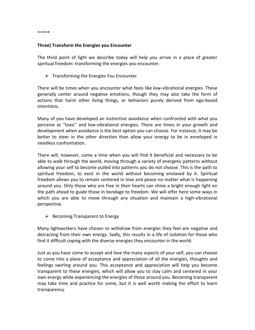\*\*\*\*\*

#### Three) Transform the Energies you Encounter

The third point of light we describe today will help you arrive in a place of greater spiritual freedom: transforming the energies you encounter.

 $\triangleright$  Transforming the Energies You Encounter

There will be times when you encounter what feels like low-vibrational energies. These generally center around negative emotions, though they may also take the form of actions that harm other living things, or behaviors purely derived from ego-based intentions.

Many of you have developed an instinctive avoidance when confronted with what you perceive as "toxic" and low-vibrational energies. There are times in your growth and development when avoidance is the best option you can choose. For instance, it may be better to steer in the other direction than allow your energy to be in enveloped in needless confrontation.

There will, however, come a time when you will find it beneficial and necessary to be able to walk through the world, moving through a variety of energetic patterns without allowing your self to become pulled into patterns you do not choose. This is the path to spiritual freedom, to exist in the world without becoming enslaved by it. Spiritual freedom allows you to remain centered in love and peace no matter what is happening around you. Only those who are free in their hearts can shine a bright enough light on the path ahead to guide those in bondage to freedom. We will offer here some ways in which you are able to move through any situation and maintain a high-vibrational perspective.

 $\triangleright$  Becoming Transparent to Energy

Many lightworkers have chosen to withdraw from energies they feel are negative and detracting from their own energy. Sadly, this results in a life of isolation for those who find it difficult coping with the diverse energies they encounter in the world.

Just as you have come to accept and love the many aspects of your self, you can choose to come into a place of acceptance and appreciation of all the energies, thoughts and feelings swirling around you. This acceptance and appreciation will help you become transparent to these energies, which will allow you to stay calm and centered in your own energy while experiencing the energies of those around you. Becoming transparent may take time and practice for some, but it is well worth making the effort to learn transparency.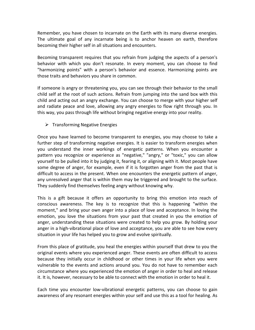Remember, you have chosen to incarnate on the Earth with its many diverse energies. The ultimate goal of any incarnate being is to anchor heaven on earth, therefore becoming their higher self in all situations and encounters.

Becoming transparent requires that you refrain from judging the aspects of a person's behavior with which you don't resonate. In every moment, you can choose to find "harmonizing points" with a person's behavior and essence. Harmonizing points are those traits and behaviors you share in common.

If someone is angry or threatening you, you can see through their behavior to the small child self at the root of such actions. Refrain from jumping into the sand box with this child and acting out an angry exchange. You can choose to merge with your higher self and radiate peace and love, allowing any angry energies to flow right through you. In this way, you pass through life without bringing negative energy into your reality.

 $\triangleright$  Transforming Negative Energies

Once you have learned to become transparent to energies, you may choose to take a further step of transforming negative energies. It is easier to transform energies when you understand the inner workings of energetic patterns. When you encounter a pattern you recognize or experience as "negative," "angry," or "toxic," you can allow yourself to be pulled into it by judging it, fearing it, or aligning with it. Most people have some degree of anger, for example, even if it is forgotten anger from the past that is difficult to access in the present. When one encounters the energetic pattern of anger, any unresolved anger that is within them may be triggered and brought to the surface. They suddenly find themselves feeling angry without knowing why.

This is a gift because it offers an opportunity to bring this emotion into reach of conscious awareness. The key is to recognize that this is happening "within the moment," and bring your own anger into a place of love and acceptance. In loving the emotion, you love the situations from your past that created in you the emotion of anger, understanding these situations were created to help you grow. By holding your anger in a high-vibrational place of love and acceptance, you are able to see how every situation in your life has helped you to grow and evolve spiritually.

From this place of gratitude, you heal the energies within yourself that drew to you the original events where you experienced anger. These events are often difficult to access because they initially occur in childhood or other times in your life when you were vulnerable to the events and actions around you. You do not have to remember each circumstance where you experienced the emotion of anger in order to heal and release it. It is, however, necessary to be able to connect with the emotion in order to heal it.

Each time you encounter low-vibrational energetic patterns, you can choose to gain awareness of any resonant energies within your self and use this as a tool for healing. As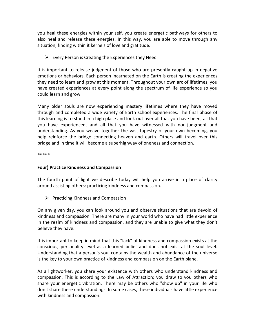you heal these energies within your self, you create energetic pathways for others to also heal and release these energies. In this way, you are able to move through any situation, finding within it kernels of love and gratitude.

 $\triangleright$  Every Person is Creating the Experiences they Need

It is important to release judgment of those who are presently caught up in negative emotions or behaviors. Each person incarnated on the Earth is creating the experiences they need to learn and grow at this moment. Throughout your own arc of lifetimes, you have created experiences at every point along the spectrum of life experience so you could learn and grow.

Many older souls are now experiencing mastery lifetimes where they have moved through and completed a wide variety of Earth school experiences. The final phase of this learning is to stand in a high place and look out over all that you have been, all that you have experienced, and all that you have witnessed with non-judgment and understanding. As you weave together the vast tapestry of your own becoming, you help reinforce the bridge connecting heaven and earth. Others will travel over this bridge and in time it will become a superhighway of oneness and connection.

\*\*\*\*\*

# Four) Practice Kindness and Compassion

The fourth point of light we describe today will help you arrive in a place of clarity around assisting others: practicing kindness and compassion.

 $\triangleright$  Practicing Kindness and Compassion

On any given day, you can look around you and observe situations that are devoid of kindness and compassion. There are many in your world who have had little experience in the realm of kindness and compassion, and they are unable to give what they don't believe they have.

It is important to keep in mind that this "lack" of kindness and compassion exists at the conscious, personality level as a learned belief and does not exist at the soul level. Understanding that a person's soul contains the wealth and abundance of the universe is the key to your own practice of kindness and compassion on the Earth plane.

As a lightworker, you share your existence with others who understand kindness and compassion. This is according to the Law of Attraction; you draw to you others who share your energetic vibration. There may be others who "show up" in your life who don't share these understandings. In some cases, these individuals have little experience with kindness and compassion.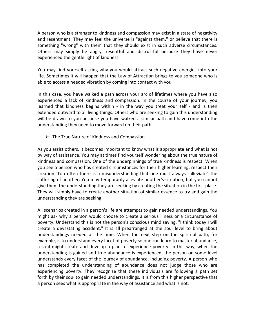A person who is a stranger to kindness and compassion may exist in a state of negativity and resentment. They may feel the universe is "against them," or believe that there is something "wrong" with them that they should exist in such adverse circumstances. Others may simply be angry, resentful and distrustful because they have never experienced the gentle light of kindness.

You may find yourself asking why you would attract such negative energies into your life. Sometimes it will happen that the Law of Attraction brings to you someone who is able to access a needed vibration by coming into contact with you.

In this case, you have walked a path across your arc of lifetimes where you have also experienced a lack of kindness and compassion. In the course of your journey, you learned that kindness begins within - in the way you treat your self - and is then extended outward to all living things. Others who are seeking to gain this understanding will be drawn to you because you have walked a similar path and have come into the understanding they need to move forward on their path.

 $\triangleright$  The True Nature of Kindness and Compassion

As you assist others, it becomes important to know what is appropriate and what is not by way of assistance. You may at times find yourself wondering about the true nature of kindness and compassion. One of the underpinnings of true kindness is respect. When you see a person who has created circumstances for their higher learning, respect their creation. Too often there is a misunderstanding that one must always "alleviate" the suffering of another. You may temporarily alleviate another's situation, but you cannot give them the understanding they are seeking by creating the situation in the first place. They will simply have to create another situation of similar essence to try and gain the understanding they are seeking.

All scenarios created in a person's life are attempts to gain needed understandings. You might ask why a person would choose to create a serious illness or a circumstance of poverty. Understand this is not the person's conscious mind saying, "I think today I will create a devastating accident." It is all prearranged at the soul level to bring about understandings needed at the time. When the next step on the spiritual path, for example, is to understand every facet of poverty so one can learn to master abundance, a soul might create and develop a plan to experience poverty. In this way, when the understanding is gained and true abundance is experienced, the person on some level understands every facet of the journey of abundance, including poverty. A person who has completed the understanding of abundance does not judge those who are experiencing poverty. They recognize that these individuals are following a path set forth by their soul to gain needed understandings. It is from this higher perspective that a person sees what is appropriate in the way of assistance and what is not.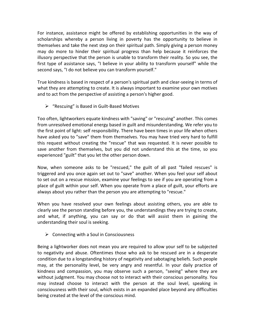For instance, assistance might be offered by establishing opportunities in the way of scholarships whereby a person living in poverty has the opportunity to believe in themselves and take the next step on their spiritual path. Simply giving a person money may do more to hinder their spiritual progress than help because it reinforces the illusory perspective that the person is unable to transform their reality. So you see, the first type of assistance says, "I believe in your ability to transform yourself" while the second says, "I do not believe you can transform yourself."

True kindness is based in respect of a person's spiritual path and clear-seeing in terms of what they are attempting to create. It is always important to examine your own motives and to act from the perspective of assisting a person's higher good.

 $\triangleright$  "Rescuing" is Based in Guilt-Based Motives

Too often, lightworkers equate kindness with "saving" or "rescuing" another. This comes from unresolved emotional energy based in guilt and misunderstanding. We refer you to the first point of light: self responsibility. There have been times in your life when others have asked you to "save" them from themselves. You may have tried very hard to fulfill this request without creating the "rescue" that was requested. It is never possible to save another from themselves, but you did not understand this at the time, so you experienced "guilt" that you let the other person down.

Now, when someone asks to be "rescued," the guilt of all past "failed rescues" is triggered and you once again set out to "save" another. When you feel your self about to set out on a rescue mission, examine your feelings to see if you are operating from a place of guilt within your self. When you operate from a place of guilt, your efforts are always about you rather than the person you are attempting to "rescue."

When you have resolved your own feelings about assisting others, you are able to clearly see the person standing before you, the understandings they are trying to create, and what, if anything, you can say or do that will assist them in gaining the understanding their soul is seeking.

 $\triangleright$  Connecting with a Soul in Consciousness

Being a lightworker does not mean you are required to allow your self to be subjected to negativity and abuse. Oftentimes those who ask to be rescued are in a desperate condition due to a longstanding history of negativity and sabotaging beliefs. Such people may, at the personality level, be very angry and resentful. In your daily practice of kindness and compassion, you may observe such a person, "seeing" where they are without judgment. You may choose not to interact with their conscious personality. You may instead choose to interact with the person at the soul level, speaking in consciousness with their soul, which exists in an expanded place beyond any difficulties being created at the level of the conscious mind.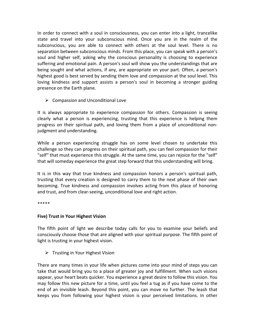In order to connect with a soul in consciousness, you can enter into a light, trancelike state and travel into your subconscious mind. Once you are in the realm of the subconscious, you are able to connect with others at the soul level. There is no separation between subconscious minds. From this place, you can speak with a person's soul and higher self, asking why the conscious personality is choosing to experience suffering and emotional pain. A person's soul will show you the understandings that are being sought and what actions, if any, are appropriate on your part. Often, a person's highest good is best served by sending them love and compassion at the soul level. This loving kindness and support assists a person's soul in becoming a stronger guiding presence on the Earth plane.

 $\triangleright$  Compassion and Unconditional Love

It is always appropriate to experience compassion for others. Compassion is seeing clearly what a person is experiencing, trusting that this experience is helping them progress on their spiritual path, and loving them from a place of unconditional nonjudgment and understanding.

While a person experiencing struggle has on some level chosen to undertake this challenge so they can progress on their spiritual path, you can feel compassion for their "self" that must experience this struggle. At the same time, you can rejoice for the "self" that will someday experience the great step forward that this understanding will bring.

It is in this way that true kindness and compassion honors a person's spiritual path, trusting that every creation is designed to carry them to the next phase of their own becoming. True kindness and compassion involves acting from this place of honoring and trust, and from clear-seeing, unconditional love and right action.

\*\*\*\*\*

# Five) Trust in Your Highest Vision

The fifth point of light we describe today calls for you to examine your beliefs and consciously choose those that are aligned with your spiritual purpose. The fifth point of light is trusting in your highest vision.

 $\triangleright$  Trusting in Your Highest Vision

There are many times in your life when pictures come into your mind of steps you can take that would bring you to a place of greater joy and fulfillment. When such visions appear, your heart beats quicker. You experience a great desire to follow this vision. You may follow this new picture for a time, until you feel a tug as if you have come to the end of an invisible leash. Beyond this point, you can move no further. The leash that keeps you from following your highest vision is your perceived limitations. In other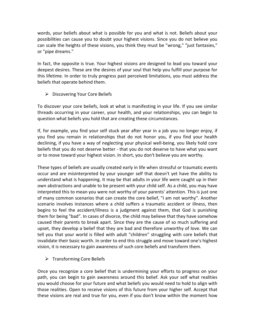words, your beliefs about what is possible for you and what is not. Beliefs about your possibilities can cause you to doubt your highest visions. Since you do not believe you can scale the heights of these visions, you think they must be "wrong," "just fantasies," or "pipe dreams."

In fact, the opposite is true. Your highest visions are designed to lead you toward your deepest desires. These are the desires of your soul that help you fulfill your purpose for this lifetime. In order to truly progress past perceived limitations, you must address the beliefs that operate behind them.

 $\triangleright$  Discovering Your Core Beliefs

To discover your core beliefs, look at what is manifesting in your life. If you see similar threads occurring in your career, your health, and your relationships, you can begin to question what beliefs you hold that are creating these circumstances.

If, for example, you find your self stuck year after year in a job you no longer enjoy, if you find you remain in relationships that do not honor you, if you find your health declining, if you have a way of neglecting your physical well-being, you likely hold core beliefs that you do not deserve better - that you do not deserve to have what you want or to move toward your highest vision. In short, you don't believe you are worthy.

These types of beliefs are usually created early in life when stressful or traumatic events occur and are misinterpreted by your younger self that doesn't yet have the ability to understand what is happening. It may be that adults in your life were caught up in their own abstractions and unable to be present with your child self. As a child, you may have interpreted this to mean you were not worthy of your parents' attention. This is just one of many common scenarios that can create the core belief, "I am not worthy". Another scenario involves instances where a child suffers a traumatic accident or illness, then begins to feel the accident/illness is a judgment against them, that God is punishing them for being "bad". In cases of divorce, the child may believe that they have somehow caused their parents to break apart. Since they are the cause of so much suffering and upset, they develop a belief that they are bad and therefore unworthy of love. We can tell you that your world is filled with adult "children" struggling with core beliefs that invalidate their basic worth. In order to end this struggle and move toward one's highest vision, it is necessary to gain awareness of such core beliefs and transform them.

 $\triangleright$  Transforming Core Beliefs

Once you recognize a core belief that is undermining your efforts to progress on your path, you can begin to gain awareness around this belief. Ask your self what realities you would choose for your future and what beliefs you would need to hold to align with those realities. Open to receive visions of this future from your higher self. Accept that these visions are real and true for you, even if you don't know within the moment how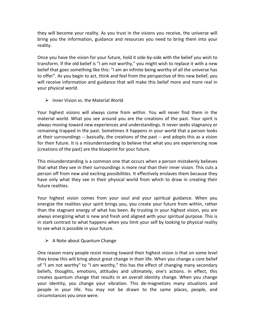they will become your reality. As you trust in the visions you receive, the universe will bring you the information, guidance and resources you need to bring them into your reality.

Once you have the vision for your future, hold it side-by-side with the belief you wish to transform. If the old belief is "I am not worthy," you might wish to replace it with a new belief that goes something like this: "I am an infinite being worthy of all the universe has to offer". As you begin to act, think and feel from the perspective of this new belief, you will receive information and guidance that will make this belief more and more real in your physical world.

 $\triangleright$  Inner Vision vs. the Material World

Your highest visions will always come from within. You will never find them in the material world. What you see around you are the creations of the past. Your spirit is always moving toward new experiences and understandings. It never seeks stagnancy or remaining trapped in the past. Sometimes it happens in your world that a person looks at their surroundings -- basically, the creations of the past -- and adopts this as a vision for their future. It is a misunderstanding to believe that what you are experiencing now (creations of the past) are the blueprint for your future.

This misunderstanding is a common one that occurs when a person mistakenly believes that what they see in their surroundings is more real than their inner vision. This cuts a person off from new and exciting possibilities. It effectively enslaves them because they have only what they see in their physical world from which to draw in creating their future realities.

Your highest vision comes from your soul and your spiritual guidance. When you energize the realities your spirit brings you, you create your future from within, rather than the stagnant energy of what has been. By trusting in your highest vision, you are always energizing what is new and fresh and aligned with your spiritual purpose. This is in stark contrast to what happens when you limit your self by looking to physical reality to see what is possible in your future.

 $\triangleright$  A Note about Quantum Change

One reason many people resist moving toward their highest vision is that on some level they know this will bring about great change in their life. When you change a core belief of "I am not worthy" to "I am worthy," this has the effect of changing many secondary beliefs, thoughts, emotions, attitudes and ultimately, one's actions. In effect, this creates quantum change that results in an overall identity change. When you change your identity, you change your vibration. This de-magnetizes many situations and people in your life. You may not be drawn to the same places, people, and circumstances you once were.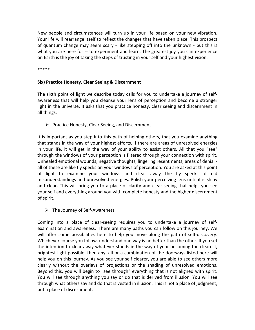New people and circumstances will turn up in your life based on your new vibration. Your life will rearrange itself to reflect the changes that have taken place. This prospect of quantum change may seem scary - like stepping off into the unknown - but this is what you are here for -- to experiment and learn. The greatest joy you can experience on Earth is the joy of taking the steps of trusting in your self and your highest vision.

\*\*\*\*\*

#### Six) Practice Honesty, Clear Seeing & Discernment

The sixth point of light we describe today calls for you to undertake a journey of selfawareness that will help you cleanse your lens of perception and become a stronger light in the universe. It asks that you practice honesty, clear seeing and discernment in all things.

 $\triangleright$  Practice Honesty, Clear Seeing, and Discernment

It is important as you step into this path of helping others, that you examine anything that stands in the way of your highest efforts. If there are areas of unresolved energies in your life, it will get in the way of your ability to assist others. All that you "see" through the windows of your perception is filtered through your connection with spirit. Unhealed emotional wounds, negative thoughts, lingering resentments, areas of denial all of these are like fly specks on your windows of perception. You are asked at this point of light to examine your windows and clear away the fly specks of old misunderstandings and unresolved energies. Polish your perceiving lens until it is shiny and clear. This will bring you to a place of clarity and clear-seeing that helps you see your self and everything around you with complete honesty and the higher discernment of spirit.

 $\triangleright$  The Journey of Self-Awareness

Coming into a place of clear-seeing requires you to undertake a journey of selfexamination and awareness. There are many paths you can follow on this journey. We will offer some possibilities here to help you move along the path of self-discovery. Whichever course you follow, understand one way is no better than the other. If you set the intention to clear away whatever stands in the way of your becoming the clearest, brightest light possible, then any, all or a combination of the doorways listed here will help you on this journey. As you see your self clearer, you are able to see others more clearly without the overlays of projections or the shading of unresolved emotions. Beyond this, you will begin to "see through" everything that is not aligned with spirit. You will see through anything you say or do that is derived from illusion. You will see through what others say and do that is vested in illusion. This is not a place of judgment, but a place of discernment.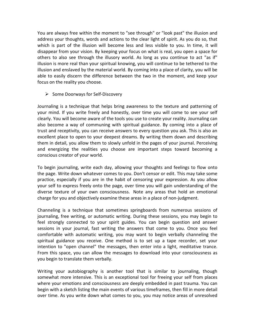You are always free within the moment to "see through" or "look past" the illusion and address your thoughts, words and actions to the clear light of spirit. As you do so, that which is part of the illusion will become less and less visible to you. In time, it will disappear from your vision. By keeping your focus on what is real, you open a space for others to also see through the illusory world. As long as you continue to act "as if" illusion is more real than your spiritual knowing, you will continue to be tethered to the illusion and enslaved by the material world. By coming into a place of clarity, you will be able to easily discern the difference between the two in the moment, and keep your focus on the reality you choose.

 $\triangleright$  Some Doorways for Self-Discovery

Journaling is a technique that helps bring awareness to the texture and patterning of your mind. If you write freely and honestly, over time you will come to see your self clearly. You will become aware of the tools you use to create your reality. Journaling can also become a way of communing with spiritual guidance. By coming into a place of trust and receptivity, you can receive answers to every question you ask. This is also an excellent place to open to your deepest dreams. By writing them down and describing them in detail, you allow them to slowly unfold in the pages of your journal. Perceiving and energizing the realities you choose are important steps toward becoming a conscious creator of your world.

To begin journaling, write each day, allowing your thoughts and feelings to flow onto the page. Write down whatever comes to you. Don't censor or edit. This may take some practice, especially if you are in the habit of censoring your expression. As you allow your self to express freely onto the page, over time you will gain understanding of the diverse texture of your own consciousness. Note any areas that hold an emotional charge for you and objectively examine these areas in a place of non-judgment.

Channeling is a technique that sometimes springboards from numerous sessions of journaling, free writing, or automatic writing. During these sessions, you may begin to feel strongly connected to your spirit guides. You can begin question and answer sessions in your journal, fast writing the answers that come to you. Once you feel comfortable with automatic writing, you may want to begin verbally channeling the spiritual guidance you receive. One method is to set up a tape recorder, set your intention to "open channel" the messages, then enter into a light, meditative trance. From this space, you can allow the messages to download into your consciousness as you begin to translate them verbally.

Writing your autobiography is another tool that is similar to journaling, though somewhat more intensive. This is an exceptional tool for freeing your self from places where your emotions and consciousness are deeply embedded in past trauma. You can begin with a sketch listing the main events of various timeframes, then fill in more detail over time. As you write down what comes to you, you may notice areas of unresolved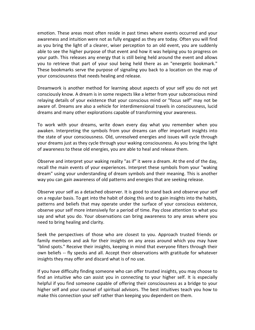emotion. These areas most often reside in past times where events occurred and your awareness and intuition were not as fully engaged as they are today. Often you will find as you bring the light of a clearer, wiser perception to an old event, you are suddenly able to see the higher purpose of that event and how it was helping you to progress on your path. This releases any energy that is still being held around the event and allows you to retrieve that part of your soul being held there as an "energetic bookmark." These bookmarks serve the purpose of signaling you back to a location on the map of your consciousness that needs healing and release.

Dreamwork is another method for learning about aspects of your self you do not yet consciously know. A dream is in some respects like a letter from your subconscious mind relaying details of your existence that your conscious mind or "focus self" may not be aware of. Dreams are also a vehicle for interdimensional travels in consciousness, lucid dreams and many other explorations capable of transforming your awareness.

To work with your dreams, write down every day what you remember when you awaken. Interpreting the symbols from your dreams can offer important insights into the state of your consciousness. Old, unresolved energies and issues will cycle through your dreams just as they cycle through your waking consciousness. As you bring the light of awareness to these old energies, you are able to heal and release them.

Observe and interpret your waking reality "as if" it were a dream. At the end of the day, recall the main events of your experiences. Interpret these symbols from your "waking dream" using your understanding of dream symbols and their meaning. This is another way you can gain awareness of old patterns and energies that are seeking release.

Observe your self as a detached observer. It is good to stand back and observe your self on a regular basis. To get into the habit of doing this and to gain insights into the habits, patterns and beliefs that may operate under the surface of your conscious existence, observe your self more intensively for a period of time. Pay close attention to what you say and what you do. Your observations can bring awareness to any areas where you need to bring healing and clarity.

Seek the perspectives of those who are closest to you. Approach trusted friends or family members and ask for their insights on any areas around which you may have "blind spots." Receive their insights, keeping in mind that everyone filters through their own beliefs -- fly specks and all. Accept their observations with gratitude for whatever insights they may offer and discard what is of no use.

If you have difficulty finding someone who can offer trusted insights, you may choose to find an intuitive who can assist you in connecting to your higher self. It is especially helpful if you find someone capable of offering their consciousness as a bridge to your higher self and your counsel of spiritual advisors. The best intuitives teach you how to make this connection your self rather than keeping you dependent on them.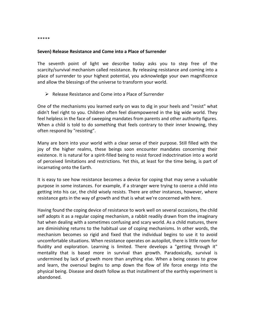\*\*\*\*\*

#### Seven) Release Resistance and Come into a Place of Surrender

The seventh point of light we describe today asks you to step free of the scarcity/survival mechanism called resistance. By releasing resistance and coming into a place of surrender to your highest potential, you acknowledge your own magnificence and allow the blessings of the universe to transform your world.

 $\triangleright$  Release Resistance and Come into a Place of Surrender

One of the mechanisms you learned early on was to dig in your heels and "resist" what didn't feel right to you. Children often feel disempowered in the big wide world. They feel helpless in the face of sweeping mandates from parents and other authority figures. When a child is told to do something that feels contrary to their inner knowing, they often respond by "resisting".

Many are born into your world with a clear sense of their purpose. Still filled with the joy of the higher realms, these beings soon encounter mandates concerning their existence. It is natural for a spirit-filled being to resist forced indoctrination into a world of perceived limitations and restrictions. Yet this, at least for the time being, is part of incarnating onto the Earth.

It is easy to see how resistance becomes a device for coping that may serve a valuable purpose in some instances. For example, if a stranger were trying to coerce a child into getting into his car, the child wisely resists. There are other instances, however, where resistance gets in the way of growth and that is what we're concerned with here.

Having found the coping device of resistance to work well on several occasions, the child self adopts it as a regular coping mechanism, a rabbit readily drawn from the imaginary hat when dealing with a sometimes confusing and scary world. As a child matures, there are diminishing returns to the habitual use of coping mechanisms. In other words, the mechanism becomes so rigid and fixed that the individual begins to use it to avoid uncomfortable situations. When resistance operates on autopilot, there is little room for fluidity and exploration. Learning is limited. There develops a "getting through it" mentality that is based more in survival than growth. Paradoxically, survival is undermined by lack of growth more than anything else. When a being ceases to grow and learn, the oversoul begins to amp down the flow of life force energy into the physical being. Disease and death follow as that installment of the earthly experiment is abandoned.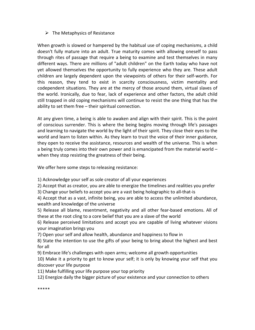# $\triangleright$  The Metaphysics of Resistance

When growth is slowed or hampered by the habitual use of coping mechanisms, a child doesn't fully mature into an adult. True maturity comes with allowing oneself to pass through rites of passage that require a being to examine and test themselves in many different ways. There are millions of "adult children" on the Earth today who have not yet allowed themselves the opportunity to fully experience who they are. These adult children are largely dependent upon the viewpoints of others for their self-worth. For this reason, they tend to exist in scarcity consciousness, victim mentality and codependent situations. They are at the mercy of those around them, virtual slaves of the world. Ironically, due to fear, lack of experience and other factors, the adult child still trapped in old coping mechanisms will continue to resist the one thing that has the ability to set them free – their spiritual connection.

At any given time, a being is able to awaken and align with their spirit. This is the point of conscious surrender. This is where the being begins moving through life's passages and learning to navigate the world by the light of their spirit. They close their eyes to the world and learn to listen within. As they learn to trust the voice of their inner guidance, they open to receive the assistance, resources and wealth of the universe. This is when a being truly comes into their own power and is emancipated from the material world – when they stop resisting the greatness of their being.

We offer here some steps to releasing resistance:

1) Acknowledge your self as sole creator of all your experiences

2) Accept that as creator, you are able to energize the timelines and realities you prefer

3) Change your beliefs to accept you are a vast being holographic to all-that-is

4) Accept that as a vast, infinite being, you are able to access the unlimited abundance, wealth and knowledge of the universe

5) Release all blame, resentment, negativity and all other fear-based emotions. All of these at the root cling to a core belief that you are a slave of the world

6) Release perceived limitations and accept you are capable of living whatever visions your imagination brings you

7) Open your self and allow health, abundance and happiness to flow in

8) State the intention to use the gifts of your being to bring about the highest and best for all

9) Embrace life's challenges with open arms; welcome all growth opportunities

10) Make it a priority to get to know your self; it is only by knowing your self that you discover your life purpose

11) Make fulfilling your life purpose your top priority

12) Energize daily the bigger picture of your existence and your connection to others

\*\*\*\*\*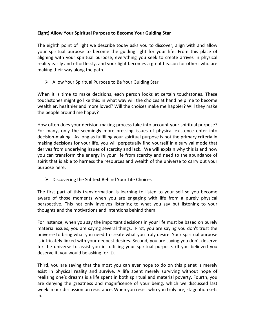# Eight) Allow Your Spiritual Purpose to Become Your Guiding Star

The eighth point of light we describe today asks you to discover, align with and allow your spiritual purpose to become the guiding light for your life. From this place of aligning with your spiritual purpose, everything you seek to create arrives in physical reality easily and effortlessly, and your light becomes a great beacon for others who are making their way along the path.

 $\triangleright$  Allow Your Spiritual Purpose to Be Your Guiding Star

When it is time to make decisions, each person looks at certain touchstones. These touchstones might go like this: in what way will the choices at hand help me to become wealthier, healthier and more loved? Will the choices make me happier? Will they make the people around me happy?

How often does your decision-making process take into account your spiritual purpose? For many, only the seemingly more pressing issues of physical existence enter into decision-making. As long as fulfilling your spiritual purpose is not the primary criteria in making decisions for your life, you will perpetually find yourself in a survival mode that derives from underlying issues of scarcity and lack. We will explain why this is and how you can transform the energy in your life from scarcity and need to the abundance of spirit that is able to harness the resources and wealth of the universe to carry out your purpose here.

 $\triangleright$  Discovering the Subtext Behind Your Life Choices

The first part of this transformation is learning to listen to your self so you become aware of those moments when you are engaging with life from a purely physical perspective. This not only involves listening to what you say but listening to your thoughts and the motivations and intentions behind them.

For instance, when you say the important decisions in your life must be based on purely material issues, you are saying several things. First, you are saying you don't trust the universe to bring what you need to create what you truly desire. Your spiritual purpose is intricately linked with your deepest desires. Second, you are saying you don't deserve for the universe to assist you in fulfilling your spiritual purpose. (If you believed you deserve it, you would be asking for it).

Third, you are saying that the most you can ever hope to do on this planet is merely exist in physical reality and survive. A life spent merely surviving without hope of realizing one's dreams is a life spent in both spiritual and material poverty. Fourth, you are denying the greatness and magnificence of your being, which we discussed last week in our discussion on resistance. When you resist who you truly are, stagnation sets in.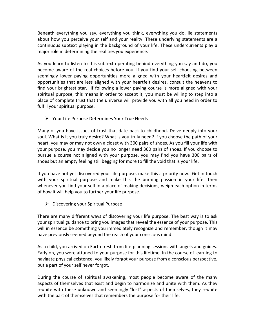Beneath everything you say, everything you think, everything you do, lie statements about how you perceive your self and your reality. These underlying statements are a continuous subtext playing in the background of your life. These undercurrents play a major role in determining the realities you experience.

As you learn to listen to this subtext operating behind everything you say and do, you become aware of the real choices before you. If you find your self choosing between seemingly lower paying opportunities more aligned with your heartfelt desires and opportunities that are less aligned with your heartfelt desires, consult the heavens to find your brightest star. If following a lower paying course is more aligned with your spiritual purpose, this means in order to accept it, you must be willing to step into a place of complete trust that the universe will provide you with all you need in order to fulfill your spiritual purpose.

 $\triangleright$  Your Life Purpose Determines Your True Needs

Many of you have issues of trust that date back to childhood. Delve deeply into your soul. What is it you truly desire? What is you truly need? If you choose the path of your heart, you may or may not own a closet with 300 pairs of shoes. As you fill your life with your purpose, you may decide you no longer need 300 pairs of shoes. If you choose to pursue a course not aligned with your purpose, you may find you have 300 pairs of shoes but an empty feeling still begging for more to fill the void that is your life.

If you have not yet discovered your life purpose, make this a priority now. Get in touch with your spiritual purpose and make this the burning passion in your life. Then whenever you find your self in a place of making decisions, weigh each option in terms of how it will help you to further your life purpose.

 $\triangleright$  Discovering your Spiritual Purpose

There are many different ways of discovering your life purpose. The best way is to ask your spiritual guidance to bring you images that reveal the essence of your purpose. This will in essence be something you immediately recognize and remember, though it may have previously seemed beyond the reach of your conscious mind.

As a child, you arrived on Earth fresh from life-planning sessions with angels and guides. Early on, you were attuned to your purpose for this lifetime. In the course of learning to navigate physical existence, you likely forgot your purpose from a conscious perspective, but a part of your self never forgot.

During the course of spiritual awakening, most people become aware of the many aspects of themselves that exist and begin to harmonize and unite with them. As they reunite with these unknown and seemingly "lost" aspects of themselves, they reunite with the part of themselves that remembers the purpose for their life.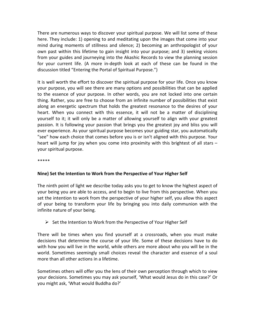There are numerous ways to discover your spiritual purpose. We will list some of these here. They include: 1) opening to and meditating upon the images that come into your mind during moments of stillness and silence; 2) becoming an anthropologist of your own past within this lifetime to gain insight into your purpose; and 3) seeking visions from your guides and journeying into the Akashic Records to view the planning session for your current life. (A more in-depth look at each of these can be found in the discussion titled "Entering the Portal of Spiritual Purpose.")

It is well worth the effort to discover the spiritual purpose for your life. Once you know your purpose, you will see there are many options and possibilities that can be applied to the essence of your purpose. In other words, you are not locked into one certain thing. Rather, you are free to choose from an infinite number of possibilities that exist along an energetic spectrum that holds the greatest resonance to the desires of your heart. When you connect with this essence, it will not be a matter of disciplining yourself to it; it will only be a matter of allowing yourself to align with your greatest passion. It is following your passion that brings you the greatest joy and bliss you will ever experience. As your spiritual purpose becomes your guiding star, you automatically "see" how each choice that comes before you is or isn't aligned with this purpose. Your heart will jump for joy when you come into proximity with this brightest of all stars – your spiritual purpose.

\*\*\*\*\*

# Nine) Set the Intention to Work from the Perspective of Your Higher Self

The ninth point of light we describe today asks you to get to know the highest aspect of your being you are able to access, and to begin to live from this perspective. When you set the intention to work from the perspective of your higher self, you allow this aspect of your being to transform your life by bringing you into daily communion with the infinite nature of your being.

# $\triangleright$  Set the Intention to Work from the Perspective of Your Higher Self

There will be times when you find yourself at a crossroads, when you must make decisions that determine the course of your life. Some of these decisions have to do with how you will live in the world, while others are more about who you will be in the world. Sometimes seemingly small choices reveal the character and essence of a soul more than all other actions in a lifetime.

Sometimes others will offer you the lens of their own perception through which to view your decisions. Sometimes you may ask yourself, 'What would Jesus do in this case?' Or you might ask, 'What would Buddha do?'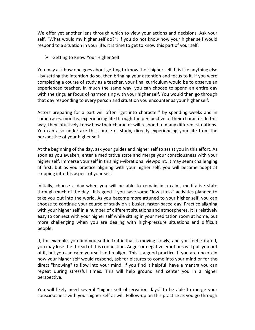We offer yet another lens through which to view your actions and decisions. Ask your self, "What would my higher self do?". If you do not know how your higher self would respond to a situation in your life, it is time to get to know this part of your self.

Getting to Know Your Higher Self

You may ask how one goes about getting to know their higher self. It is like anything else - by setting the intention do so, then bringing your attention and focus to it. If you were completing a course of study as a teacher, your final curriculum would be to observe an experienced teacher. In much the same way, you can choose to spend an entire day with the singular focus of harmonizing with your higher self. You would then go through that day responding to every person and situation you encounter as your higher self.

Actors preparing for a part will often "get into character" by spending weeks and in some cases, months, experiencing life through the perspective of their character. In this way, they intuitively know how their character will respond to many different situations. You can also undertake this course of study, directly experiencing your life from the perspective of your higher self.

At the beginning of the day, ask your guides and higher self to assist you in this effort. As soon as you awaken, enter a meditative state and merge your consciousness with your higher self. Immerse your self in this high-vibrational viewpoint. It may seem challenging at first, but as you practice aligning with your higher self, you will become adept at stepping into this aspect of your self.

Initially, choose a day when you will be able to remain in a calm, meditative state through much of the day. It is good if you have some "low stress" activities planned to take you out into the world. As you become more attuned to your higher self, you can choose to continue your course of study on a busier, faster-paced day. Practice aligning with your higher self in a number of different situations and atmospheres. It is relatively easy to connect with your higher self while sitting in your meditation room at home, but more challenging when you are dealing with high-pressure situations and difficult people.

If, for example, you find yourself in traffic that is moving slowly, and you feel irritated, you may lose the thread of this connection. Anger or negative emotions will pull you out of it, but you can calm yourself and realign. This is a good practice. If you are uncertain how your higher self would respond, ask for pictures to come into your mind or for the direct "knowing" to flow into your mind. If you find it helpful, have a mantra you can repeat during stressful times. This will help ground and center you in a higher perspective.

You will likely need several "higher self observation days" to be able to merge your consciousness with your higher self at will. Follow-up on this practice as you go through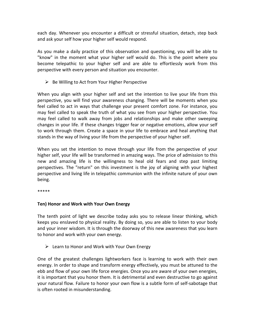each day. Whenever you encounter a difficult or stressful situation, detach, step back and ask your self how your higher self would respond.

As you make a daily practice of this observation and questioning, you will be able to "know" in the moment what your higher self would do. This is the point where you become telepathic to your higher self and are able to effortlessly work from this perspective with every person and situation you encounter.

 $\triangleright$  Be Willing to Act from Your Higher Perspective

When you align with your higher self and set the intention to live your life from this perspective, you will find your awareness changing. There will be moments when you feel called to act in ways that challenge your present comfort zone. For instance, you may feel called to speak the truth of what you see from your higher perspective. You may feel called to walk away from jobs and relationships and make other sweeping changes in your life. If these changes trigger fear or negative emotions, allow your self to work through them. Create a space in your life to embrace and heal anything that stands in the way of living your life from the perspective of your higher self.

When you set the intention to move through your life from the perspective of your higher self, your life will be transformed in amazing ways. The price of admission to this new and amazing life is the willingness to heal old fears and step past limiting perspectives. The "return" on this investment is the joy of aligning with your highest perspective and living life in telepathic communion with the infinite nature of your own being.

\*\*\*\*\*

# Ten) Honor and Work with Your Own Energy

The tenth point of light we describe today asks you to release linear thinking, which keeps you enslaved to physical reality. By doing so, you are able to listen to your body and your inner wisdom. It is through the doorway of this new awareness that you learn to honor and work with your own energy.

 $\triangleright$  Learn to Honor and Work with Your Own Energy

One of the greatest challenges lightworkers face is learning to work with their own energy. In order to shape and transform energy effectively, you must be attuned to the ebb and flow of your own life force energies. Once you are aware of your own energies, it is important that you honor them. It is detrimental and even destructive to go against your natural flow. Failure to honor your own flow is a subtle form of self-sabotage that is often rooted in misunderstanding.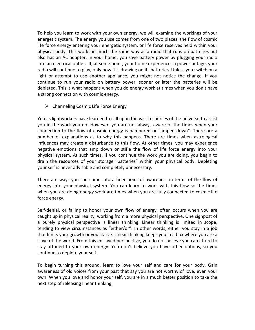To help you learn to work with your own energy, we will examine the workings of your energetic system. The energy you use comes from one of two places: the flow of cosmic life force energy entering your energetic system, or life force reserves held within your physical body. This works in much the same way as a radio that runs on batteries but also has an AC adapter. In your home, you save battery power by plugging your radio into an electrical outlet. If, at some point, your home experiences a power outage, your radio will continue to play, only now it is drawing on its batteries. Unless you switch on a light or attempt to use another appliance, you might not notice the change. If you continue to run your radio on battery power, sooner or later the batteries will be depleted. This is what happens when you do energy work at times when you don't have a strong connection with cosmic energy.

 $\triangleright$  Channeling Cosmic Life Force Energy

You as lightworkers have learned to call upon the vast resources of the universe to assist you in the work you do. However, you are not always aware of the times when your connection to the flow of cosmic energy is hampered or "amped down". There are a number of explanations as to why this happens. There are times when astrological influences may create a disturbance to this flow. At other times, you may experience negative emotions that amp down or stifle the flow of life force energy into your physical system. At such times, if you continue the work you are doing, you begin to drain the resources of your storage "batteries" within your physical body. Depleting your self is never advisable and completely unnecessary.

There are ways you can come into a finer point of awareness in terms of the flow of energy into your physical system. You can learn to work with this flow so the times when you are doing energy work are times when you are fully connected to cosmic life force energy.

Self-denial, or failing to honor your own flow of energy, often occurs when you are caught up in physical reality, working from a more physical perspective. One signpost of a purely physical perspective is linear thinking. Linear thinking is limited in scope, tending to view circumstances as "either/or". In other words, either you stay in a job that limits your growth or you starve. Linear thinking keeps you in a box where you are a slave of the world. From this enslaved perspective, you do not believe you can afford to stay attuned to your own energy. You don't believe you have other options, so you continue to deplete your self.

To begin turning this around, learn to love your self and care for your body. Gain awareness of old voices from your past that say you are not worthy of love, even your own. When you love and honor your self, you are in a much better position to take the next step of releasing linear thinking.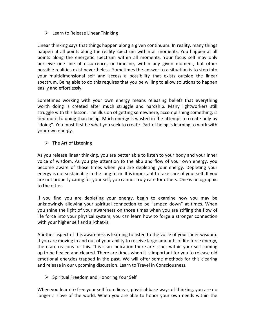# $\triangleright$  Learn to Release Linear Thinking

Linear thinking says that things happen along a given continuum. In reality, many things happen at all points along the reality spectrum within all moments. You happen at all points along the energetic spectrum within all moments. Your focus self may only perceive one line of occurrence, or timeline, within any given moment, but other possible realities exist nevertheless. Sometimes the answer to a situation is to step into your multidimensional self and access a possibility that exists outside the linear spectrum. Being able to do this requires that you be willing to allow solutions to happen easily and effortlessly.

Sometimes working with your own energy means releasing beliefs that everything worth doing is created after much struggle and hardship. Many lightworkers still struggle with this lesson. The illusion of getting somewhere, accomplishing something, is tied more to doing than being. Much energy is wasted in the attempt to create only by "doing". You must first be what you seek to create. Part of being is learning to work with your own energy.

 $\triangleright$  The Art of Listening

As you release linear thinking, you are better able to listen to your body and your inner voice of wisdom. As you pay attention to the ebb and flow of your own energy, you become aware of those times when you are depleting your energy. Depleting your energy is not sustainable in the long term. It is important to take care of your self. If you are not properly caring for your self, you cannot truly care for others. One is holographic to the other.

If you find you are depleting your energy, begin to examine how you may be unknowingly allowing your spiritual connection to be "amped down" at times. When you shine the light of your awareness on those times when you are stifling the flow of life force into your physical system, you can learn how to forge a stronger connection with your higher self and all-that-is.

Another aspect of this awareness is learning to listen to the voice of your inner wisdom. If you are moving in and out of your ability to receive large amounts of life force energy, there are reasons for this. This is an indication there are issues within your self coming up to be healed and cleared. There are times when it is important for you to release old emotional energies trapped in the past. We will offer some methods for this clearing and release in our upcoming discussion, Learn to Travel in Consciousness.

 $\triangleright$  Spiritual Freedom and Honoring Your Self

When you learn to free your self from linear, physical-base ways of thinking, you are no longer a slave of the world. When you are able to honor your own needs within the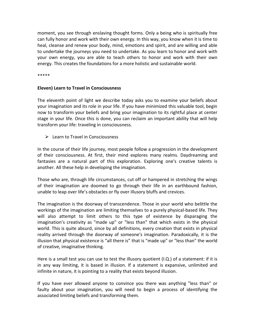moment, you see through enslaving thought forms. Only a being who is spiritually free can fully honor and work with their own energy. In this way, you know when it is time to heal, cleanse and renew your body, mind, emotions and spirit, and are willing and able to undertake the journeys you need to undertake. As you learn to honor and work with your own energy, you are able to teach others to honor and work with their own energy. This creates the foundations for a more holistic and sustainable world.

\*\*\*\*\*

#### Eleven) Learn to Travel in Consciousness

The eleventh point of light we describe today asks you to examine your beliefs about your imagination and its role in your life. If you have minimized this valuable tool, begin now to transform your beliefs and bring your imagination to its rightful place at center stage in your life. Once this is done, you can reclaim an important ability that will help transform your life: traveling in consciousness.

 $\triangleright$  Learn to Travel in Consciousness

In the course of their life journey, most people follow a progression in the development of their consciousness. At first, their mind explores many realms. Daydreaming and fantasies are a natural part of this exploration. Exploring one's creative talents is another. All these help in developing the imagination.

Those who are, through life circumstances, cut off or hampered in stretching the wings of their imagination are doomed to go through their life in an earthbound fashion, unable to leap over life's obstacles or fly over illusory bluffs and crevices.

The imagination is the doorway of transcendence. Those in your world who belittle the workings of the imagination are limiting themselves to a purely physical-based life. They will also attempt to limit others to this type of existence by disparaging the imagination's creativity as "made up" or "less than" that which exists in the physical world. This is quite absurd, since by all definitions, every creation that exists in physical reality arrived through the doorway of someone's imagination. Paradoxically, it is the illusion that physical existence is "all there is" that is "made up" or "less than" the world of creative, imaginative thinking.

Here is a small test you can use to test the illusory quotient (I.Q.) of a statement: if it is in any way limiting, it is based in illusion. If a statement is expansive, unlimited and infinite in nature, it is pointing to a reality that exists beyond illusion.

If you have ever allowed anyone to convince you there was anything "less than" or faulty about your imagination, you will need to begin a process of identifying the associated limiting beliefs and transforming them.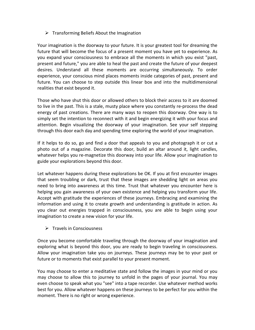# $\triangleright$  Transforming Beliefs About the Imagination

Your imagination is the doorway to your future. It is your greatest tool for dreaming the future that will become the focus of a present moment you have yet to experience. As you expand your consciousness to embrace all the moments in which you exist "past, present and future," you are able to heal the past and create the future of your deepest desires. Understand all these moments are occurring simultaneously. To order experience, your conscious mind places moments inside categories of past, present and future. You can choose to step outside this linear box and into the multidimensional realities that exist beyond it.

Those who have shut this door or allowed others to block their access to it are doomed to live in the past. This is a stale, musty place where you constantly re-process the dead energy of past creations. There are many ways to reopen this doorway. One way is to simply set the intention to reconnect with it and begin energizing it with your focus and attention. Begin visualizing the doorway of your imagination. See your self stepping through this door each day and spending time exploring the world of your imagination.

If it helps to do so, go and find a door that appeals to you and photograph it or cut a photo out of a magazine. Decorate this door, build an altar around it, light candles, whatever helps you re-magnetize this doorway into your life. Allow your imagination to guide your explorations beyond this door.

Let whatever happens during these explorations be OK. If you at first encounter images that seem troubling or dark, trust that these images are shedding light on areas you need to bring into awareness at this time. Trust that whatever you encounter here is helping you gain awareness of your own existence and helping you transform your life. Accept with gratitude the experiences of these journeys. Embracing and examining the information and using it to create growth and understanding is gratitude in action. As you clear out energies trapped in consciousness, you are able to begin using your imagination to create a new vision for your life.

 $\triangleright$  Travels in Consciousness

Once you become comfortable traveling through the doorway of your imagination and exploring what is beyond this door, you are ready to begin traveling in consciousness. Allow your imagination take you on journeys. These journeys may be to your past or future or to moments that exist parallel to your present moment.

You may choose to enter a meditative state and follow the images in your mind or you may choose to allow this to journey to unfold in the pages of your journal. You may even choose to speak what you "see" into a tape recorder. Use whatever method works best for you. Allow whatever happens on these journeys to be perfect for you within the moment. There is no right or wrong experience.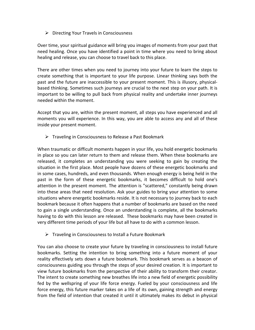$\triangleright$  Directing Your Travels in Consciousness

Over time, your spiritual guidance will bring you images of moments from your past that need healing. Once you have identified a point in time where you need to bring about healing and release, you can choose to travel back to this place.

There are other times when you need to journey into your future to learn the steps to create something that is important to your life purpose. Linear thinking says both the past and the future are inaccessible to your present moment. This is illusory, physicalbased thinking. Sometimes such journeys are crucial to the next step on your path. It is important to be willing to pull back from physical reality and undertake inner journeys needed within the moment.

Accept that you are, within the present moment, all steps you have experienced and all moments you will experience. In this way, you are able to access any and all of these inside your present moment.

 $\triangleright$  Traveling in Consciousness to Release a Past Bookmark

When traumatic or difficult moments happen in your life, you hold energetic bookmarks in place so you can later return to them and release them. When these bookmarks are released, it completes an understanding you were seeking to gain by creating the situation in the first place. Most people have dozens of these energetic bookmarks and in some cases, hundreds, and even thousands. When enough energy is being held in the past in the form of these energetic bookmarks, it becomes difficult to hold one's attention in the present moment. The attention is "scattered," constantly being drawn into these areas that need resolution. Ask your guides to bring your attention to some situations where energetic bookmarks reside. It is not necessary to journey back to each bookmark because it often happens that a number of bookmarks are based on the need to gain a single understanding. Once an understanding is complete, all the bookmarks having to do with this lesson are released. These bookmarks may have been created in very different time periods of your life but all have to do with a common lesson.

 $\triangleright$  Traveling in Consciousness to Install a Future Bookmark

You can also choose to create your future by traveling in consciousness to install future bookmarks. Setting the intention to bring something into a future moment of your reality effectively sets down a future bookmark. This bookmark serves as a beacon of consciousness guiding you through the steps of your desired creation. It is important to view future bookmarks from the perspective of their ability to transform their creator. The intent to create something new breathes life into a new field of energetic possibility fed by the wellspring of your life force energy. Fueled by your consciousness and life force energy, this future marker takes on a life of its own, gaining strength and energy from the field of intention that created it until it ultimately makes its debut in physical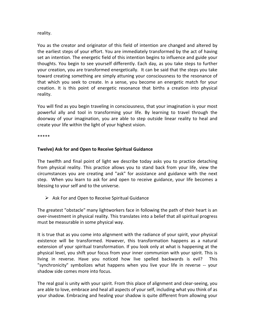#### reality.

You as the creator and originator of this field of intention are changed and altered by the earliest steps of your effort. You are immediately transformed by the act of having set an intention. The energetic field of this intention begins to influence and guide your thoughts. You begin to see yourself differently. Each day, as you take steps to further your creation, you are transformed energetically. It can be said that the steps you take toward creating something are simply attuning your consciousness to the resonance of that which you seek to create. In a sense, you become an energetic match for your creation. It is this point of energetic resonance that births a creation into physical reality.

You will find as you begin traveling in consciousness, that your imagination is your most powerful ally and tool in transforming your life. By learning to travel through the doorway of your imagination, you are able to step outside linear reality to heal and create your life within the light of your highest vision.

\*\*\*\*\*

#### Twelve) Ask for and Open to Receive Spiritual Guidance

The twelfth and final point of light we describe today asks you to practice detaching from physical reality. This practice allows you to stand back from your life, view the circumstances you are creating and "ask" for assistance and guidance with the next step. When you learn to ask for and open to receive guidance, your life becomes a blessing to your self and to the universe.

 $\triangleright$  Ask For and Open to Receive Spiritual Guidance

The greatest "obstacle" many lightworkers face in following the path of their heart is an over-investment in physical reality. This translates into a belief that all spiritual progress must be measurable in some physical way.

It is true that as you come into alignment with the radiance of your spirit, your physical existence will be transformed. However, this transformation happens as a natural extension of your spiritual transformation. If you look only at what is happening at the physical level, you shift your focus from your inner communion with your spirit. This is living in reverse. Have you noticed how live spelled backwards is evil? This "synchronicity" symbolizes what happens when you live your life in reverse -- your shadow side comes more into focus.

The real goal is unity with your spirit. From this place of alignment and clear-seeing, you are able to love, embrace and heal all aspects of your self, including what you think of as your shadow. Embracing and healing your shadow is quite different from allowing your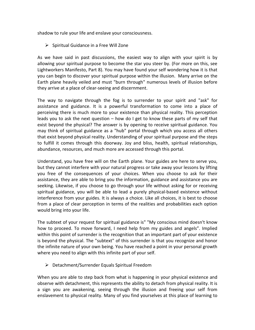shadow to rule your life and enslave your consciousness.

 $\triangleright$  Spiritual Guidance in a Free Will Zone

As we have said in past discussions, the easiest way to align with your spirit is by allowing your spiritual purpose to become the star you steer by. (For more on this, see Lightworkers Manifesto, Part 8). You may have found your self wondering how it is that you can begin to discover your spiritual purpose within the illusion. Many arrive on the Earth plane heavily veiled and must "burn through" numerous levels of illusion before they arrive at a place of clear-seeing and discernment.

The way to navigate through the fog is to surrender to your spirit and "ask" for assistance and guidance. It is a powerful transformation to come into a place of perceiving there is much more to your existence than physical reality. This perception leads you to ask the next question – how do I get to know these parts of my self that exist beyond the physical? The answer is by opening to receive spiritual guidance. You may think of spiritual guidance as a "hub" portal through which you access all others that exist beyond physical reality. Understanding of your spiritual purpose and the steps to fulfill it comes through this doorway. Joy and bliss, health, spiritual relationships, abundance, resources, and much more are accessed through this portal.

Understand, you have free will on the Earth plane. Your guides are here to serve you, but they cannot interfere with your natural progress or take away your lessons by lifting you free of the consequences of your choices. When you choose to ask for their assistance, they are able to bring you the information, guidance and assistance you are seeking. Likewise, if you choose to go through your life without asking for or receiving spiritual guidance, you will be able to lead a purely physical-based existence without interference from your guides. It is always a choice. Like all choices, it is best to choose from a place of clear perception in terms of the realities and probabilities each option would bring into your life.

The subtext of your request for spiritual guidance is" "My conscious mind doesn't know how to proceed. To move forward, I need help from my guides and angels". Implied within this point of surrender is the recognition that an important part of your existence is beyond the physical. The "subtext" of this surrender is that you recognize and honor the infinite nature of your own being. You have reached a point in your personal growth where you need to align with this infinite part of your self.

Detachment/Surrender Equals Spiritual Freedom

When you are able to step back from what is happening in your physical existence and observe with detachment, this represents the ability to detach from physical reality. It is a sign you are awakening, seeing through the illusion and freeing your self from enslavement to physical reality. Many of you find yourselves at this place of learning to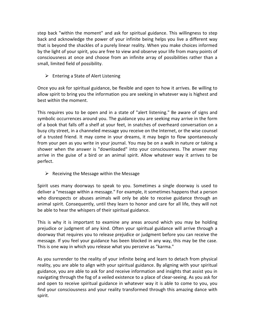step back "within the moment" and ask for spiritual guidance. This willingness to step back and acknowledge the power of your infinite being helps you live a different way that is beyond the shackles of a purely linear reality. When you make choices informed by the light of your spirit, you are free to view and observe your life from many points of consciousness at once and choose from an infinite array of possibilities rather than a small, limited field of possibility.

 $\triangleright$  Entering a State of Alert Listening

Once you ask for spiritual guidance, be flexible and open to how it arrives. Be willing to allow spirit to bring you the information you are seeking in whatever way is highest and best within the moment.

This requires you to be open and in a state of "alert listening." Be aware of signs and symbolic occurrences around you. The guidance you are seeking may arrive in the form of a book that falls off a shelf at your feet, in snatches of overheard conversation on a busy city street, in a channeled message you receive on the Internet, or the wise counsel of a trusted friend. It may come in your dreams, it may begin to flow spontaneously from your pen as you write in your journal. You may be on a walk in nature or taking a shower when the answer is "downloaded" into your consciousness. The answer may arrive in the guise of a bird or an animal spirit. Allow whatever way it arrives to be perfect.

 $\triangleright$  Receiving the Message within the Message

Spirit uses many doorways to speak to you. Sometimes a single doorway is used to deliver a "message within a message." For example, it sometimes happens that a person who disrespects or abuses animals will only be able to receive guidance through an animal spirit. Consequently, until they learn to honor and care for all life, they will not be able to hear the whispers of their spiritual guidance.

This is why it is important to examine any areas around which you may be holding prejudice or judgment of any kind. Often your spiritual guidance will arrive through a doorway that requires you to release prejudice or judgment before you can receive the message. If you feel your guidance has been blocked in any way, this may be the case. This is one way in which you release what you perceive as "karma."

As you surrender to the reality of your infinite being and learn to detach from physical reality, you are able to align with your spiritual guidance. By aligning with your spiritual guidance, you are able to ask for and receive information and insights that assist you in navigating through the fog of a veiled existence to a place of clear-seeing. As you ask for and open to receive spiritual guidance in whatever way it is able to come to you, you find your consciousness and your reality transformed through this amazing dance with spirit.